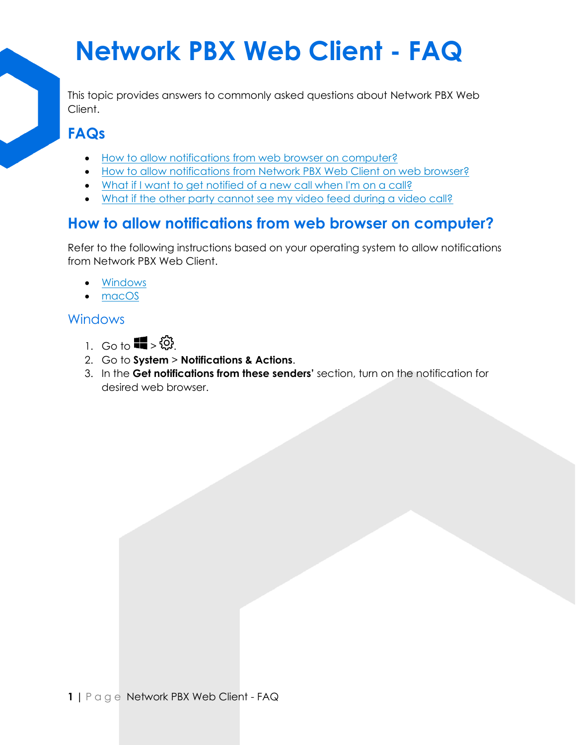This topic provides answers to commonly asked questions about Network PBX Web Client.

#### **FAQs**

- [How to allow notifications from web browser on computer?](https://help.yeastar.com/en/p-series-cloud-edition/web-client-user-guide/web-call-faq.html#web-call-faq__section_qqm_ns5_znb)
- [How to allow notifications from Network PBX Web Client](https://help.yeastar.com/en/p-series-cloud-edition/web-client-user-guide/web-call-faq.html#web-call-faq__section_x3r_34t_znb) on web browser?
- [What if I want to get notified of a new call when I'm on a call?](https://help.yeastar.com/en/p-series-cloud-edition/web-client-user-guide/web-call-faq.html#web-call-faq__section_gxd_qs1_14b)
- What if the other party cannot [see my video feed during a video call?](https://help.yeastar.com/en/p-series-cloud-edition/web-client-user-guide/web-call-faq.html#web-call-faq__section_jgf_c5l_n4b)

#### **How to allow notifications from web browser on computer?**

Refer to the following instructions based on your operating system to allow notifications from Network PBX Web Client.

- [Windows](https://help.yeastar.com/en/p-series-cloud-edition/web-client-user-guide/web-call-faq.html#web-call-faq__windows)
- [macOS](https://help.yeastar.com/en/p-series-cloud-edition/web-client-user-guide/web-call-faq.html#web-call-faq__mac)

#### **Windows**

- 1. Go to  $\P$  >  $\circ$
- 2. Go to **System** > **Notifications & Actions**.
- 3. In the **Get notifications from these senders'** section, turn on the notification for desired web browser.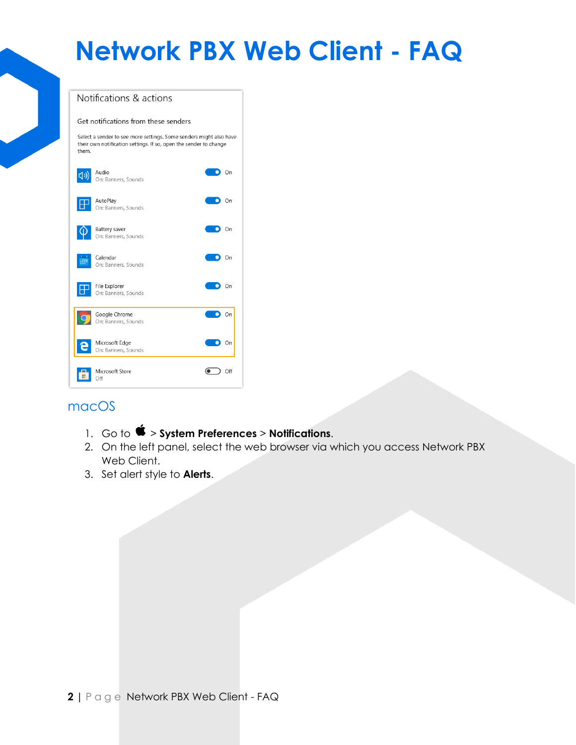

#### macOS

- 1. Go to  $\bullet$  > System Preferences > Notifications.
- 2. On the left panel, select the web browser via which you access Network PBX Web Client.
- 3. Set alert style to **Alerts**.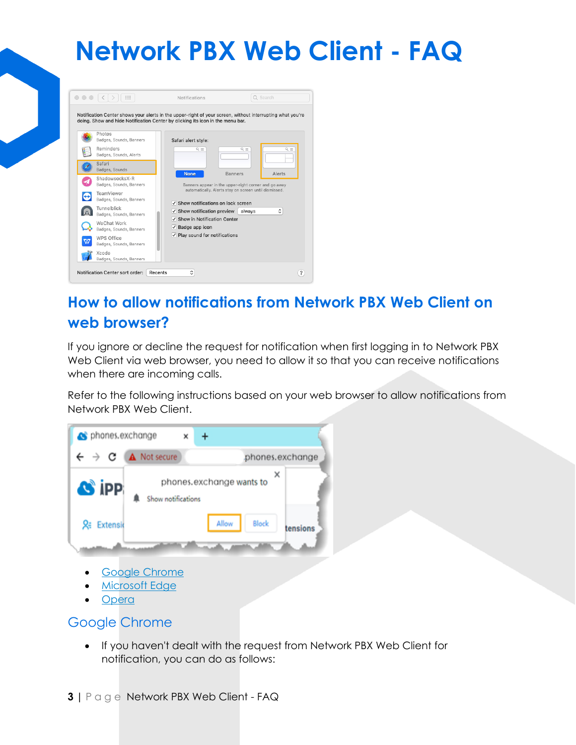

#### **How to allow notifications from Network PBX Web Client on web browser?**

If you ignore or decline the request for notification when first logging in to Network PBX Web Client via web browser, you need to allow it so that you can receive notifications when there are incoming calls.

Refer to the following instructions based on your web browser to allow notifications from Network PBX Web Client.



**[Opera](https://help.yeastar.com/en/p-series-cloud-edition/web-client-user-guide/web-call-faq.html#web-call-faq__opera)** 

#### Google Chrome

• If you haven't dealt with the request from Network PBX Web Client for notification, you can do as follows: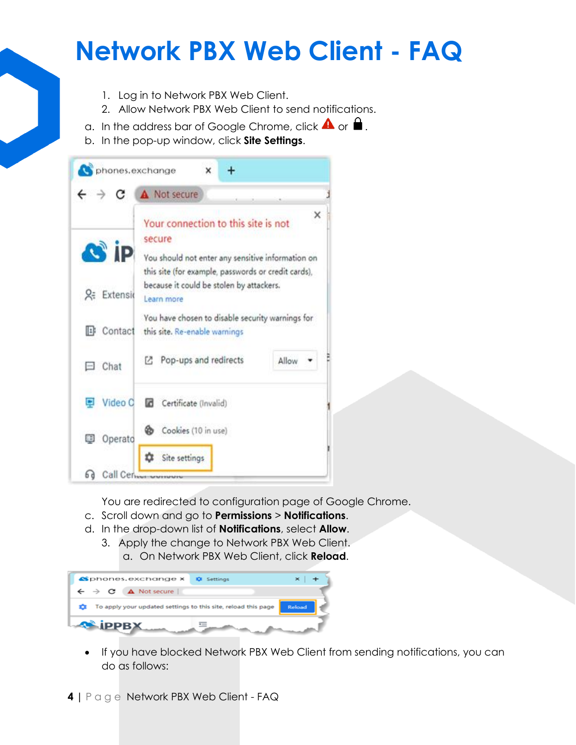- 1. Log in to Network PBX Web Client.
- 2. Allow Network PBX Web Client to send notifications.
- a. In the address bar of Google Chrome, click  $\blacktriangle$  or  $\blacktriangle$ .
- b. In the pop-up window, click **Site Settings**.

|     | phones.exchange    | ×<br>+                                                                                                                                                    |       |  |
|-----|--------------------|-----------------------------------------------------------------------------------------------------------------------------------------------------------|-------|--|
|     |                    | A Not secure                                                                                                                                              |       |  |
|     | <b>C</b> ip        | Your connection to this site is not<br>secure<br>You should not enter any sensitive information on<br>this site (for example, passwords or credit cards), | x     |  |
|     | <b>2. Extensio</b> | because it could be stolen by attackers.<br>Learn more                                                                                                    |       |  |
|     |                    | You have chosen to disable security warnings for<br>Contact this site. Re-enable warnings                                                                 |       |  |
|     | Chat               | Pop-ups and redirects<br>г.                                                                                                                               | Allow |  |
| ₽   | Video C            | Certificate (Invalid)                                                                                                                                     |       |  |
|     | <b>D</b> Operato   | Cookies (10 in use)<br>Ø5                                                                                                                                 |       |  |
| 6 d | Call Centrum       | Site settings                                                                                                                                             |       |  |

You are redirected to configuration page of Google Chrome.

- c. Scroll down and go to **Permissions** > **Notifications**.
- d. In the drop-down list of **Notifications**, select **Allow**.
	- 3. Apply the change to Network PBX Web Client. a. On Network PBX Web Client, click **Reload**.



• If you have blocked Network PBX Web Client from sending notifications, you can do as follows: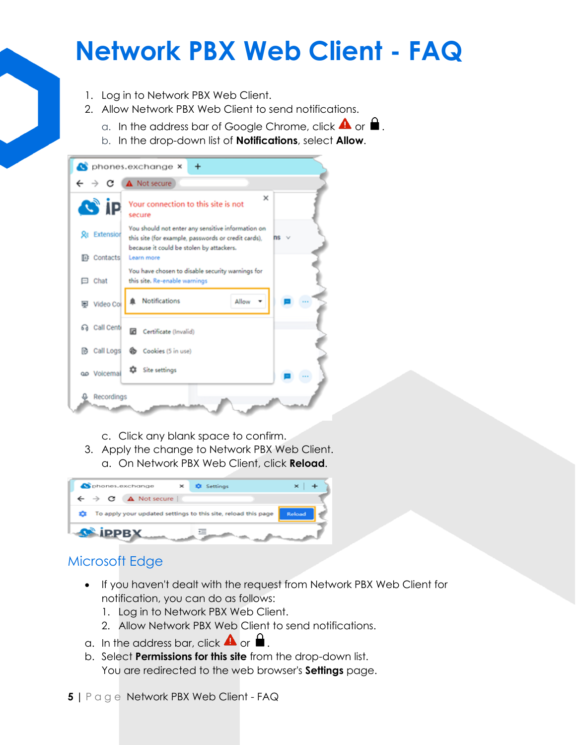- 1. Log in to Network PBX Web Client.
- 2. Allow Network PBX Web Client to send notifications.
	- a. In the address bar of Google Chrome, click  $\triangle$  or
	- b. In the drop-down list of **Notifications**, select **Allow**.



- c. Click any blank space to confirm.
- 3. Apply the change to Network PBX Web Client. a. On Network PBX Web Client, click **Reload**.



#### Microsoft Edge

- If you haven't dealt with the request from Network PBX Web Client for notification, you can do as follows:
	- 1. Log in to Network PBX Web Client.
	- 2. Allow Network PBX Web Client to send notifications.
- a. In the address bar, click  $\blacktriangle$  or  $\blacktriangle$ .
- b. Select **Permissions for this site** from the drop-down list. You are redirected to the web browser's **Settings** page.
- **5 |** P a g e Network PBX Web Client FAQ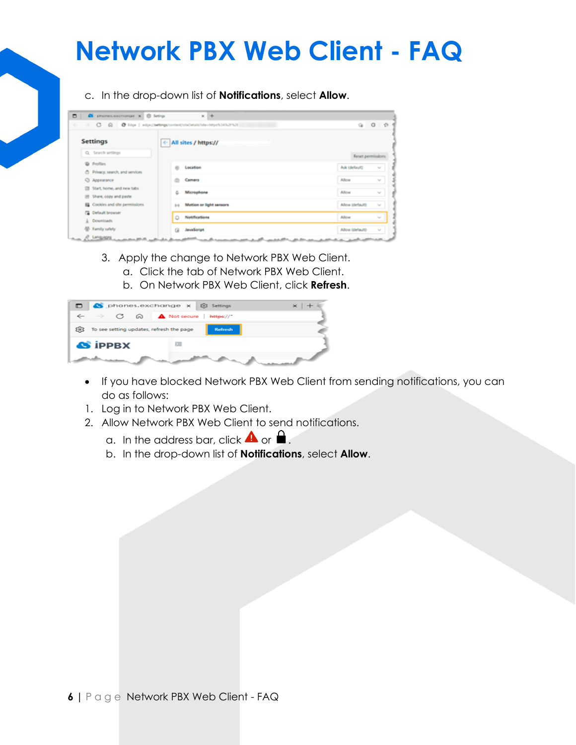c. In the drop-down list of **Notifications**, select **Allow**.

| ٠ | S phones.exchange x 8 Setings                                            | $x +$                                                                                                                                                                                                                                                                                                          |  |
|---|--------------------------------------------------------------------------|----------------------------------------------------------------------------------------------------------------------------------------------------------------------------------------------------------------------------------------------------------------------------------------------------------------|--|
| ÷ | C @ @ filte   wije;(tettings/content/stuDetails/stu-https/t3AN2FN2F<br>÷ | 1 th<br>$\ddot{a}$ $Q$<br>Reset permissions<br>Ask (default)<br>$\mathcal{L}_{\mathcal{C}}$<br>Allow<br>$\mathcal{N}_{\rm eff}$<br>Alliow<br>$\mathcal{M}$<br>Allow (default)<br>$\mathcal{L}_{\mathcal{G}}$<br>Allew<br>w<br>Allow (default)<br>$\mathcal{H}_{\mathcal{B}}$<br>a sell to a selling the second |  |
|   | <b>Settings</b>                                                          | ← All sites / https://                                                                                                                                                                                                                                                                                         |  |
|   | Q. Search settings                                                       |                                                                                                                                                                                                                                                                                                                |  |
|   | @ Profiles<br><sup>6</sup> Privacy, search, and services                 | Location<br>on.                                                                                                                                                                                                                                                                                                |  |
|   | O Appearance                                                             | Camera<br>o                                                                                                                                                                                                                                                                                                    |  |
|   | Start, home, and new tabs                                                | G. Microphone                                                                                                                                                                                                                                                                                                  |  |
|   | (d) Share, copy and paste<br>E Cookies and site permissions              | Motion or light sensors<br>0.4                                                                                                                                                                                                                                                                                 |  |
|   | <b>Ca</b> Default browser                                                |                                                                                                                                                                                                                                                                                                                |  |
|   | L Downloads                                                              | Notifications<br>٥                                                                                                                                                                                                                                                                                             |  |
|   | <b>CD</b> Family safety                                                  | JavaScript<br><b>Cal</b>                                                                                                                                                                                                                                                                                       |  |

- 3. Apply the change to Network PBX Web Client.
	- a. Click the tab of Network PBX Web Client.
	- b. On Network PBX Web Client, click **Refresh**.

|     |                                          |  | phones.exchange x 8 Settings                                                                       |  |
|-----|------------------------------------------|--|----------------------------------------------------------------------------------------------------|--|
|     |                                          |  | $\leftarrow$ $\rightarrow$ $\circlearrowleft$ $\circledcirc$ $\bullet$ Not secure $\mid$ https://" |  |
| 503 | To see setting updates, refresh the page |  | <b>Refresh</b>                                                                                     |  |
|     | <b>AS IPPBX</b>                          |  | 三                                                                                                  |  |
|     |                                          |  |                                                                                                    |  |

- If you have blocked Network PBX Web Client from sending notifications, you can do as follows:
- 1. Log in to Network PBX Web Client.
- 2. Allow Network PBX Web Client to send notifications.
	- a. In the address bar, click  $\blacktriangle$  or  $\blacktriangle$ .
	- b. In the drop-down list of **Notifications**, select **Allow**.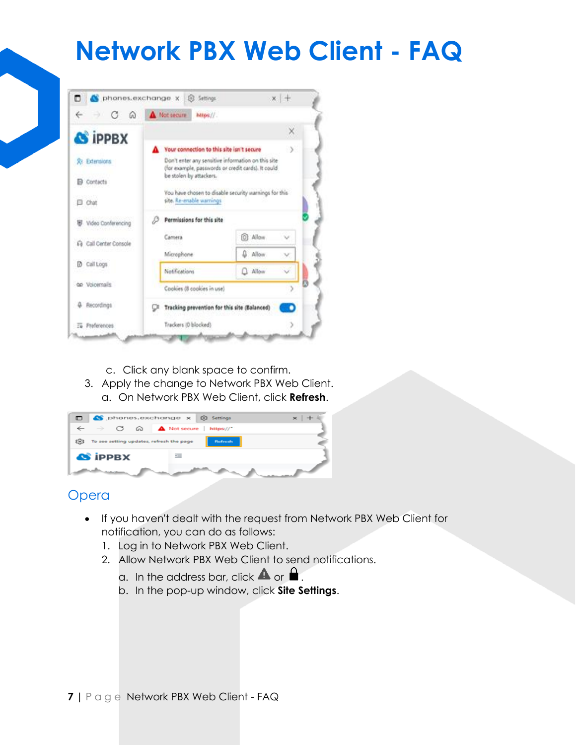

- c. Click any blank space to confirm.
- 3. Apply the change to Network PBX Web Client. a. On Network PBX Web Client, click **Refresh**.

| phones.exchange x 8 Settings                                                                                 |                |  |
|--------------------------------------------------------------------------------------------------------------|----------------|--|
| $\leftarrow$ $\rightarrow$ $\circlearrowleft$ $\circledcirc$ $\bullet$ $\bullet$ Not secure $\mid$ https://" |                |  |
| 203 To see setting updates, refresh the page                                                                 | <b>Refresh</b> |  |
| <b>A iPPBX</b>                                                                                               | 三              |  |
|                                                                                                              |                |  |

#### Opera

- If you haven't dealt with the request from Network PBX Web Client for notification, you can do as follows:
	- 1. Log in to Network PBX Web Client.
	- 2. Allow Network PBX Web Client to send notifications.
		- a. In the address bar, click  $\blacktriangle$  or  $\blacktriangle$ .
		- b. In the pop-up window, click **Site Settings**.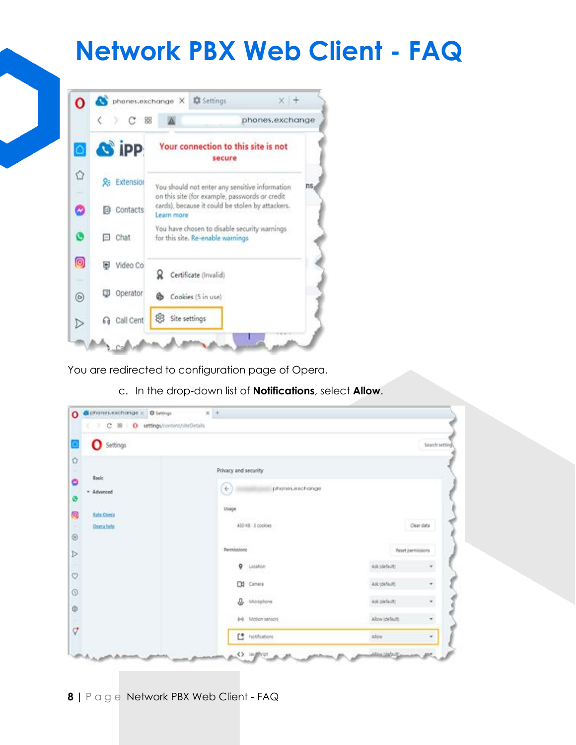

You are redirected to configuration page of Opera.

c. In the drop-down list of **Notifications**, select **Allow**.

| $x +$<br>C phones.exchange x C Settings |                 |                                                                                                                                                                          |                                                                 |
|-----------------------------------------|-----------------|--------------------------------------------------------------------------------------------------------------------------------------------------------------------------|-----------------------------------------------------------------|
| ( 3 C BB O settings/content/siteDetails |                 |                                                                                                                                                                          |                                                                 |
|                                         |                 |                                                                                                                                                                          | Search setting                                                  |
|                                         |                 |                                                                                                                                                                          |                                                                 |
| $\leftarrow$                            | phones.exchange |                                                                                                                                                                          |                                                                 |
| Usage                                   |                 |                                                                                                                                                                          |                                                                 |
|                                         |                 |                                                                                                                                                                          | Clear data                                                      |
|                                         |                 |                                                                                                                                                                          |                                                                 |
|                                         |                 | Ask idefaults                                                                                                                                                            | ۰                                                               |
|                                         |                 | Ark (default)                                                                                                                                                            | ۳                                                               |
|                                         |                 |                                                                                                                                                                          | ۰                                                               |
|                                         |                 |                                                                                                                                                                          | ٠<br>T.                                                         |
|                                         |                 | Privacy and security<br>430 KB - 3 cookies<br>Permissions<br><b>Q</b> Location<br>DI Cimera<br><b>Q</b> Microphone<br>0-8 Motion sensors<br>L <sup>e</sup> Notifications | Reset permissions<br>Ask (default)<br>Allow (default)<br>Albert |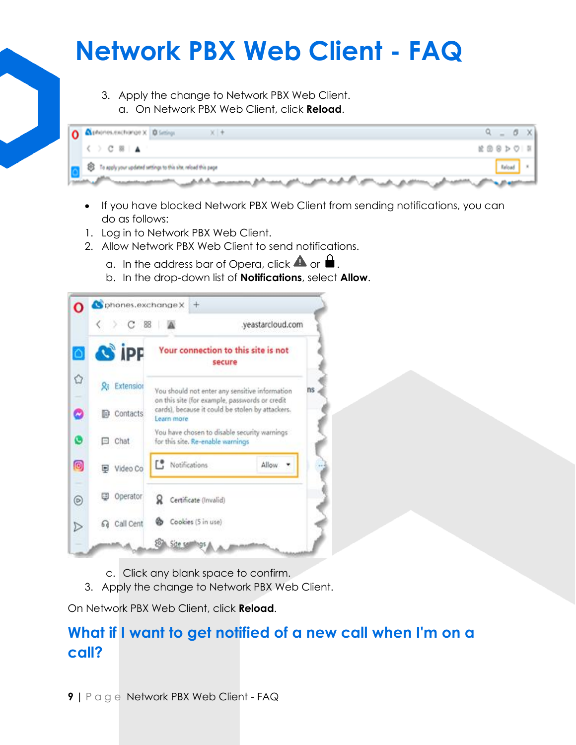3. Apply the change to Network PBX Web Client. a. On Network PBX Web Client, click **Reload**.



- If you have blocked Network PBX Web Client from sending notifications, you can do as follows:
- 1. Log in to Network PBX Web Client.
- 2. Allow Network PBX Web Client to send notifications.
	- a. In the address bar of Opera, click  $\blacktriangle$  or  $\blacktriangle$ .
	- b. In the drop-down list of **Notifications**, select **Allow**.



- c. Click any blank space to confirm.
- 3. Apply the change to Network PBX Web Client.

On Network PBX Web Client, click **Reload**.

#### **What if I want to get notified of a new call when I'm on a call?**